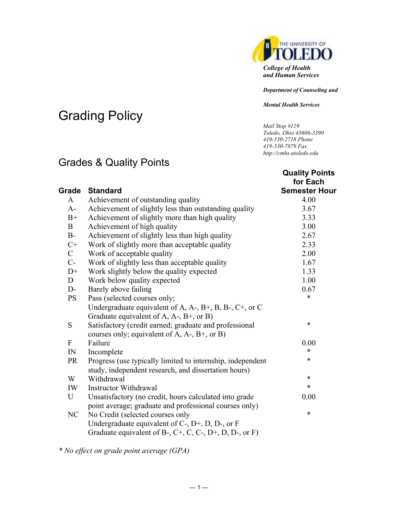

*Department of Counseling and*

*Mental Health Services*

*Mail Stop #119 Toledo, Ohio 43606-3390 419-530-2718 Phone 419-530-7879 Fax http://cmhs.utoledo.edu*

**Quality Points** 

# Grading Policy

# Grades & Quality Points

|              |                                                                                                                    | for Each             |
|--------------|--------------------------------------------------------------------------------------------------------------------|----------------------|
| Grade        | <b>Standard</b>                                                                                                    | <b>Semester Hour</b> |
| A            | Achievement of outstanding quality                                                                                 | 4.00                 |
| $A-$         | Achievement of slightly less than outstanding quality                                                              | 3.67                 |
| $B+$         | Achievement of slightly more than high quality                                                                     | 3.33                 |
| $\mathbf{B}$ | Achievement of high quality                                                                                        | 3.00                 |
| $B-$         | Achievement of slightly less than high quality                                                                     | 2.67                 |
| $C+$         | Work of slightly more than acceptable quality                                                                      | 2.33                 |
| $\mathbf C$  | Work of acceptable quality                                                                                         | 2.00                 |
| $C-$         | Work of slightly less than acceptable quality                                                                      | 1.67                 |
| $D+$         | Work slightly below the quality expected                                                                           | 1.33                 |
| D            | Work below quality expected                                                                                        | 1.00                 |
| $D-$         | Barely above failing                                                                                               | 0.67                 |
| <b>PS</b>    | Pass (selected courses only;                                                                                       | $\ast$               |
|              | Undergraduate equivalent of A, A-, B+, B, B-, C+, or C                                                             |                      |
|              | Graduate equivalent of $A$ , $A$ -, $B$ +, or $B$ )                                                                |                      |
| S            | Satisfactory (credit earned; graduate and professional                                                             | $\ast$               |
|              | courses only; equivalent of A, $A$ -, $B$ +, or B)                                                                 |                      |
| ${\bf F}$    | Failure                                                                                                            | 0.00                 |
| ${\rm IN}$   | Incomplete                                                                                                         | $\ast$               |
| <b>PR</b>    | Progress (use typically limited to internship, independent<br>study, independent research, and dissertation hours) | $\ast$               |
| W            | Withdrawal                                                                                                         | $\ast$               |
| IW           | <b>Instructor Withdrawal</b>                                                                                       | $\ast$               |
| U            | Unsatisfactory (no credit, hours calculated into grade                                                             | 0.00                 |
|              | point average; graduate and professional courses only)                                                             |                      |
| NC           | No Credit (selected courses only                                                                                   | $\ast$               |
|              | Undergraduate equivalent of $C$ -, $D$ +, $D$ , $D$ -, or F                                                        |                      |
|              | Graduate equivalent of B-, $C^+$ , C, C-, D+, D, D-, or F)                                                         |                      |
|              |                                                                                                                    |                      |

*\* No effect on grade point average (GPA)*